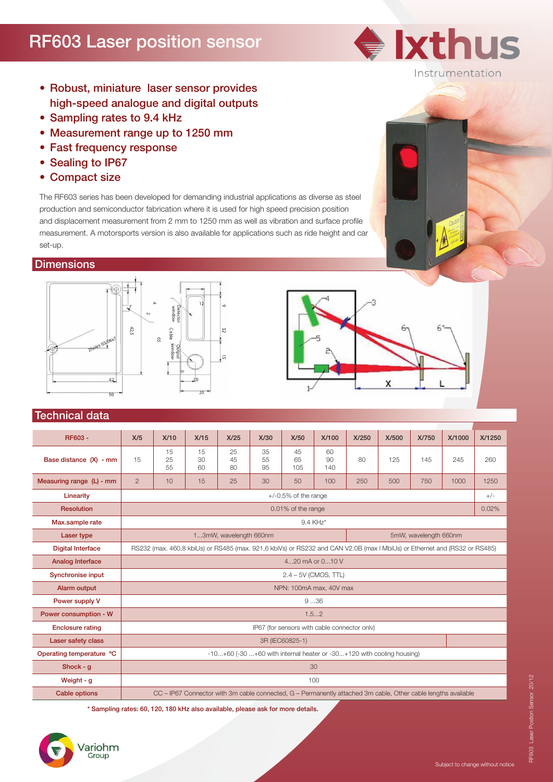# RF603 Laser position sensor



- Robust, miniature laser sensor provides high-speed analogue and digital outputs
- Sampling rates to 9.4 kHz
- Measurement range up to 1250 mm
- Fast frequency response
- Sealing to IP67
- Compact size

The RF603 series has been developed for demanding industrial applications as diverse as steel production and semiconductor fabrication where it is used for high speed precision position and displacement measurement from 2 mm to 1250 mm as well as vibration and surface profile measurement. A motorsports version is also available for applications such as ride height and car set-up.

### **Dimensions**





#### Technical data

| RF603 -                  | X/5                                                                                                                       | X/10           | X/15           | X/25           | X/30           | X/50                                                                                                          | X/100           | X/250 | X/500 | X/750 | X/1000 | X/1250 |
|--------------------------|---------------------------------------------------------------------------------------------------------------------------|----------------|----------------|----------------|----------------|---------------------------------------------------------------------------------------------------------------|-----------------|-------|-------|-------|--------|--------|
| Base distance (X) - mm   | 15                                                                                                                        | 15<br>25<br>55 | 15<br>30<br>60 | 25<br>45<br>80 | 35<br>55<br>95 | 45<br>65<br>105                                                                                               | 60<br>90<br>140 | 80    | 125   | 145   | 245    | 260    |
| Measuring range (L) - mm | $\overline{2}$                                                                                                            | 10             | 15             | 25             | 30             | 50                                                                                                            | 100             | 250   | 500   | 750   | 1000   | 1250   |
| Linearity                | $+/-0.5\%$ of the range                                                                                                   |                |                |                |                |                                                                                                               |                 |       |       |       |        | $+/-$  |
| <b>Resolution</b>        | 0.01% of the range                                                                                                        |                |                |                |                |                                                                                                               |                 |       |       |       | 0.02%  |        |
| Max.sample rate          | 9.4 KHz*                                                                                                                  |                |                |                |                |                                                                                                               |                 |       |       |       |        |        |
| Laser type               | 5mW, wavelength 660nm<br>13mW, wavelength 660nm                                                                           |                |                |                |                |                                                                                                               |                 |       |       |       |        |        |
| <b>Digital Interface</b> | RS232 (max. 460,8 kbiUs) or RS485 (max. 921,6 kbiVs) or RS232 and CAN V2.0B (max I MbiUs) or Ethernet and (RS32 or RS485) |                |                |                |                |                                                                                                               |                 |       |       |       |        |        |
| <b>Analog Interface</b>  | 420 mA or 010 V                                                                                                           |                |                |                |                |                                                                                                               |                 |       |       |       |        |        |
| <b>Synchronise input</b> | $2.4 - 5V$ (CMOS, TTL)                                                                                                    |                |                |                |                |                                                                                                               |                 |       |       |       |        |        |
| Alarm output             | NPN: 100mA max, 40V max                                                                                                   |                |                |                |                |                                                                                                               |                 |       |       |       |        |        |
| Power supply V           | 936                                                                                                                       |                |                |                |                |                                                                                                               |                 |       |       |       |        |        |
| Power consumption - W    | 1.52                                                                                                                      |                |                |                |                |                                                                                                               |                 |       |       |       |        |        |
| <b>Enclosure rating</b>  | IP67 (for sensors with cable connector only)                                                                              |                |                |                |                |                                                                                                               |                 |       |       |       |        |        |
| Laser safety class       | 3R (IEC60825-1)                                                                                                           |                |                |                |                |                                                                                                               |                 |       |       |       |        |        |
| Operating temperature °C | $-10+60$ ( $-30+60$ with internal heater or $-30+120$ with cooling housing)                                               |                |                |                |                |                                                                                                               |                 |       |       |       |        |        |
| Shock - q                | 30                                                                                                                        |                |                |                |                |                                                                                                               |                 |       |       |       |        |        |
| Weight - g               | 100                                                                                                                       |                |                |                |                |                                                                                                               |                 |       |       |       |        |        |
| <b>Cable options</b>     |                                                                                                                           |                |                |                |                | CC - IP67 Connector with 3m cable connected, G - Permanently attached 3m cable, Other cable lengths available |                 |       |       |       |        |        |

\* Sampling rates: 60, 120, 180 kHz also available, please ask for more details.